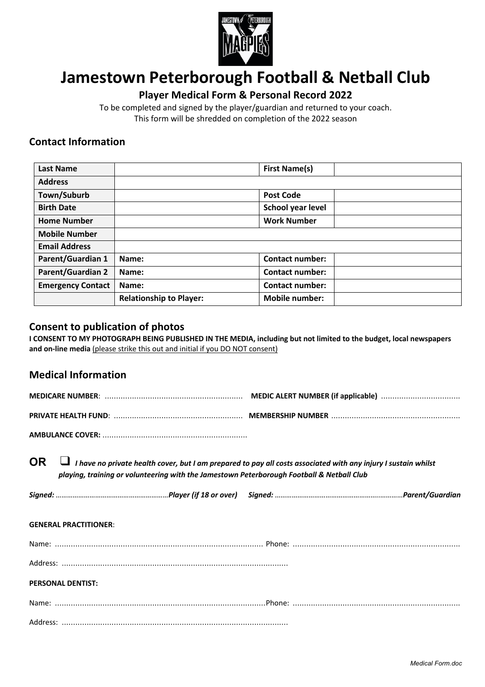

# **Jamestown Peterborough Football & Netball Club**

# **Player Medical Form & Personal Record 2022**

To be completed and signed by the player/guardian and returned to your coach. This form will be shredded on completion of the 2022 season

# **Contact Information**

| <b>Last Name</b>         |                                | <b>First Name(s)</b>   |  |
|--------------------------|--------------------------------|------------------------|--|
| <b>Address</b>           |                                |                        |  |
| Town/Suburb              |                                | <b>Post Code</b>       |  |
| <b>Birth Date</b>        |                                | School year level      |  |
| <b>Home Number</b>       |                                | <b>Work Number</b>     |  |
| <b>Mobile Number</b>     |                                |                        |  |
| <b>Email Address</b>     |                                |                        |  |
| <b>Parent/Guardian 1</b> | Name:                          | <b>Contact number:</b> |  |
| <b>Parent/Guardian 2</b> | Name:                          | <b>Contact number:</b> |  |
| <b>Emergency Contact</b> | Name:                          | <b>Contact number:</b> |  |
|                          | <b>Relationship to Player:</b> | <b>Mobile number:</b>  |  |

## **Consent to publication of photos**

**I CONSENT TO MY PHOTOGRAPH BEING PUBLISHED IN THE MEDIA, including but not limited to the budget, local newspapers and on-line media** (please strike this out and initial if you DO NOT consent)

## **Medical Information**

| <b>OR</b> | I have no private health cover, but I am prepared to pay all costs associated with any injury I sustain whilst |
|-----------|----------------------------------------------------------------------------------------------------------------|
|           | playing, training or volunteering with the Jamestown Peterborough Football & Netball Club                      |

| Signed: …………………………………………………………Player (if 18 or over)  Signed: ……………………………………………………………………Parent/Guardian |
|---------------------------------------------------------------------------------------------------------|
|                                                                                                         |

### **GENERAL PRACTITIONER**:

|  | . |  |
|--|---|--|
|  |   |  |

### **PERSONAL DENTIST:**